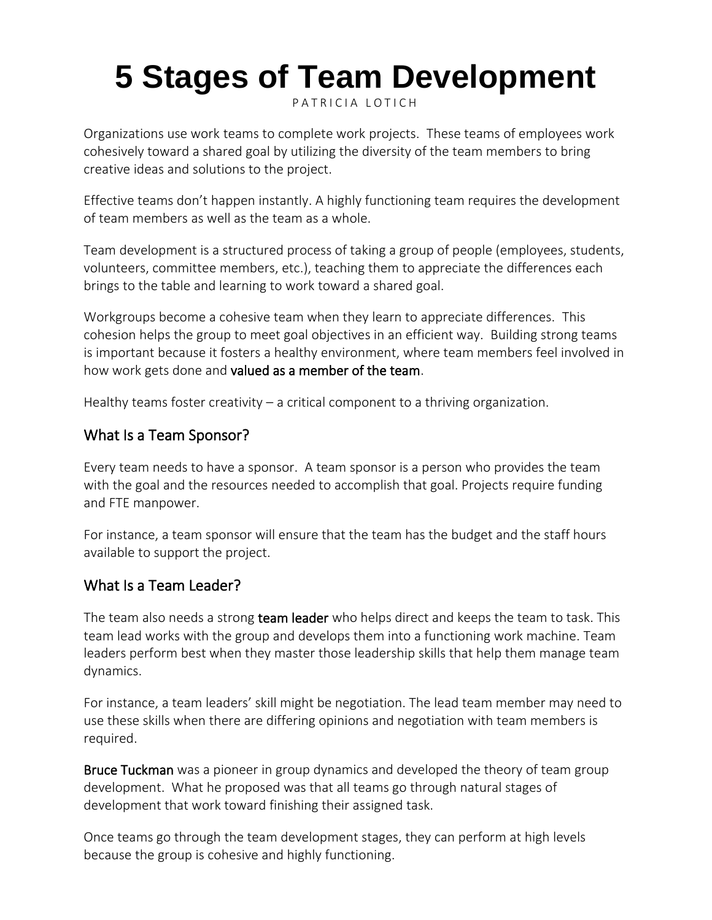# **5 Stages of Team Development**

PATRICIA LOTICH

Organizations use work teams to complete work projects. These teams of employees work cohesively toward a shared goal by utilizing the diversity of the team members to bring creative ideas and solutions to the project.

Effective teams don't happen instantly. A highly functioning team requires the development of team members as well as the team as a whole.

Team development is a structured process of taking a group of people (employees, students, volunteers, committee members, etc.), teaching them to appreciate the differences each brings to the table and learning to work toward a shared goal.

Workgroups become a cohesive team when they learn to appreciate differences. This cohesion helps the group to meet goal objectives in an efficient way. Building strong teams is important because it fosters a healthy environment, where team members feel involved in how work gets done and [valued as a member of the team.](https://thethrivingsmallbusiness.com/job-satisfaction-and-job-performance/)

Healthy teams foster creativity – a critical component to a thriving organization.

# What Is a Team Sponsor?

Every team needs to have a sponsor. A team sponsor is a person who provides the team with the goal and the resources needed to accomplish that goal. Projects require funding and FTE manpower.

For instance, a team sponsor will ensure that the team has the budget and the staff hours available to support the project.

# What Is a Team Leader?

The team also needs a strong **[team leader](https://thethrivingsmallbusiness.com/example-of-team-leader-skills-and-responsibilities/)** who helps direct and keeps the team to task. This team lead works with the group and develops them into a functioning work machine. Team leaders perform best when they master those leadership skills that help them manage team dynamics.

For instance, a team leaders' skill might be negotiation. The lead team member may need to use these skills when there are differing opinions and negotiation with team members is required.

[Bruce Tuckman](https://en.wikipedia.org/wiki/Bruce_Tuckman) was a pioneer in group dynamics and developed the theory of team group development. What he proposed was that all teams go through natural stages of development that work toward finishing their assigned task.

Once teams go through the team development stages, they can perform at high levels because the group is cohesive and highly functioning.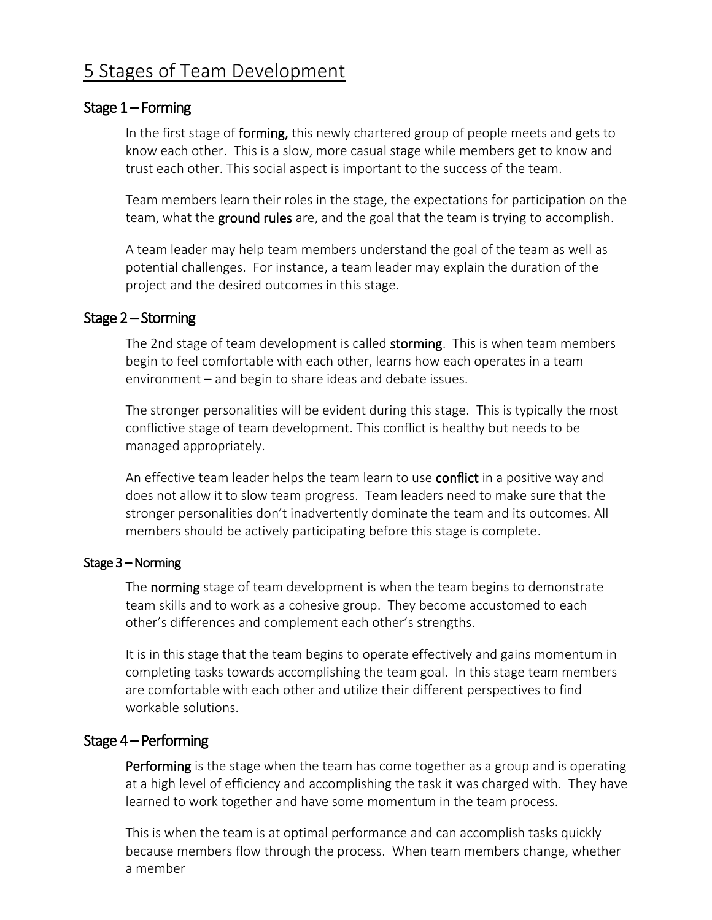# 5 Stages of Team Development

#### Stage 1 – Forming

In the first stage of **forming**, this newly chartered group of people meets and gets to know each other. This is a slow, more casual stage while members get to know and trust each other. This social aspect is important to the success of the team.

Team members learn their roles in the stage, the expectations for participation on the team, what the **[ground rules](https://smartchurchmanagement.com/what-are-meeting-ground-rules/)** are, and the goal that the team is trying to accomplish.

A team leader may help team members understand the goal of the team as well as potential challenges. For instance, a team leader may explain the duration of the project and the desired outcomes in this stage.

#### Stage 2 – Storming

The 2nd stage of team development is called storming. This is when team members begin to feel comfortable with each other, learns how each operates in a team environment – and begin to share ideas and debate issues.

The stronger personalities will be evident during this stage. This is typically the most conflictive stage of team development. This conflict is healthy but needs to be managed appropriately.

An effective team leader helps the team learn to use **[conflict](https://thethrivingsmallbusiness.com/conflict-resolution-in-the-workplace-why-conflict-resolution-is-important/)** in a positive way and does not allow it to slow team progress. Team leaders need to make sure that the stronger personalities don't inadvertently dominate the team and its outcomes. All members should be actively participating before this stage is complete.

#### Stage 3 – Norming

The norming stage of team development is when the team begins to demonstrate team skills and to work as a cohesive group. They become accustomed to each other's differences and complement each other's strengths.

It is in this stage that the team begins to operate effectively and gains momentum in completing tasks towards accomplishing the team goal. In this stage team members are comfortable with each other and utilize their different perspectives to find workable solutions.

#### Stage 4 – Performing

Performing is the stage when the team has come together as a group and is operating at a high level of efficiency and accomplishing the task it was charged with. They have learned to work together and have some momentum in the team process.

This is when the team is at optimal performance and can accomplish tasks quickly because members flow through the process. When team members change, whether a member